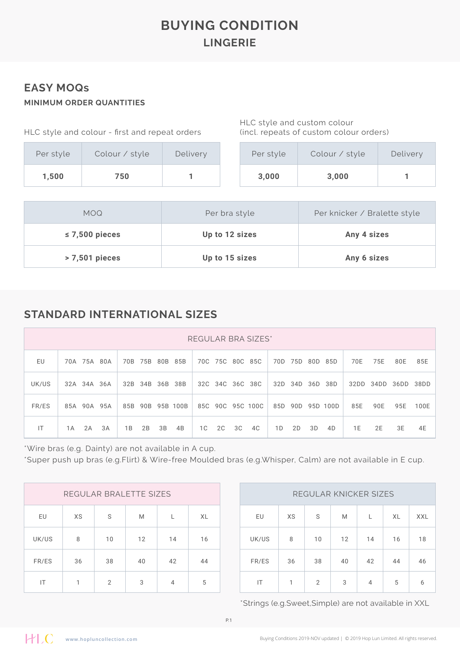# **BUYING CONDITION LINGERIE**

#### **EASY MOQs MINIMUM ORDER QUANTITIES**

| HLC style and colour - first and repeat orders |                |          |  |  |  |  |  |  |  |
|------------------------------------------------|----------------|----------|--|--|--|--|--|--|--|
| Per style                                      | Colour / style | Delivery |  |  |  |  |  |  |  |
| 1,500                                          | 750            |          |  |  |  |  |  |  |  |

HLC style and custom colour (incl. repeats of custom colour orders)

| Per style | Colour / style | Delivery |
|-----------|----------------|----------|
| 3,000     | 3,000          |          |

| MOQ.                | Per bra style  | Per knicker / Bralette style |
|---------------------|----------------|------------------------------|
| $\leq$ 7,500 pieces | Up to 12 sizes | Any 4 sizes                  |
| > 7,501 pieces      | Up to 15 sizes | Any 6 sizes                  |

### **STANDARD INTERNATIONAL SIZES**

|       | REGULAR BRA SIZES* |    |    |                 |    |                  |    |    |    |                  |    |             |    |                  |      |      |           |      |
|-------|--------------------|----|----|-----------------|----|------------------|----|----|----|------------------|----|-------------|----|------------------|------|------|-----------|------|
| EU    | 70A 75A 80A        |    |    | 70B 75B 80B 85B |    |                  |    |    |    | 70C 75C 80C 85C  |    | 70D 75D 80D |    | 85D              | 70E  | 75E  | 80E       | 85E  |
| UK/US | 32A 34A 36A        |    |    | 32B 34B 36B 38B |    |                  |    |    |    | 32C 34C 36C 38C  |    | 32D 34D 36D |    | 38D              | 32DD | 34DD | 36DD 38DD |      |
| FR/ES | 85A 90A 95A        |    |    |                 |    | 85B 90B 95B 100B |    |    |    | 85C 90C 95C 100C |    |             |    | 85D 90D 95D 100D | 85E  | 90E  | 95E       | 100E |
| IT    | 2A<br>1 A          | 3A | 1B | 2B              | 3B | 4B               | 1C | 2C | 3C | 4C               | 1D | 2D          | 3D | 4D               | 1 E  | 2E   | 3E        | 4E   |

\*Wire bras (e.g. Dainty) are not available in A cup.

\*Super push up bras (e.g.Flirt) & Wire-free Moulded bras (e.g.Whisper, Calm) are not available in E cup.

|       |              | REGULAR BRALETTE SIZES |    |    |    |       |              | REGULAR KNICKER SIZES |    |    |  |
|-------|--------------|------------------------|----|----|----|-------|--------------|-----------------------|----|----|--|
| EU    | XS           | S                      | M  |    | XL | EU    | XS           | S                     | M  |    |  |
| UK/US | 8            | 10                     | 12 | 14 | 16 | UK/US | 8            | 10                    | 12 | 14 |  |
| FR/ES | 36           | 38                     | 40 | 42 | 44 | FR/ES | 36           | 38                    | 40 | 42 |  |
| IT    | $\mathbf{1}$ | $\overline{2}$         | 3  | 4  | 5  | IT    | $\mathbf{1}$ | $\overline{2}$        | 3  | 4  |  |

| REGULAR KNICKER SIZES |    |    |    |    |    |            |  |  |  |  |  |
|-----------------------|----|----|----|----|----|------------|--|--|--|--|--|
| EU                    | XS | S  | M  | L  | XL | <b>XXL</b> |  |  |  |  |  |
| UK/US                 | 8  | 10 | 12 | 14 | 16 | 18         |  |  |  |  |  |
| FR/ES                 | 36 | 38 | 40 | 42 | 44 | 46         |  |  |  |  |  |
| IT                    | 1  | 2  | 3  | 4  | 5  | 6          |  |  |  |  |  |

\*Strings (e.g.Sweet,Simple) are not available in XXL